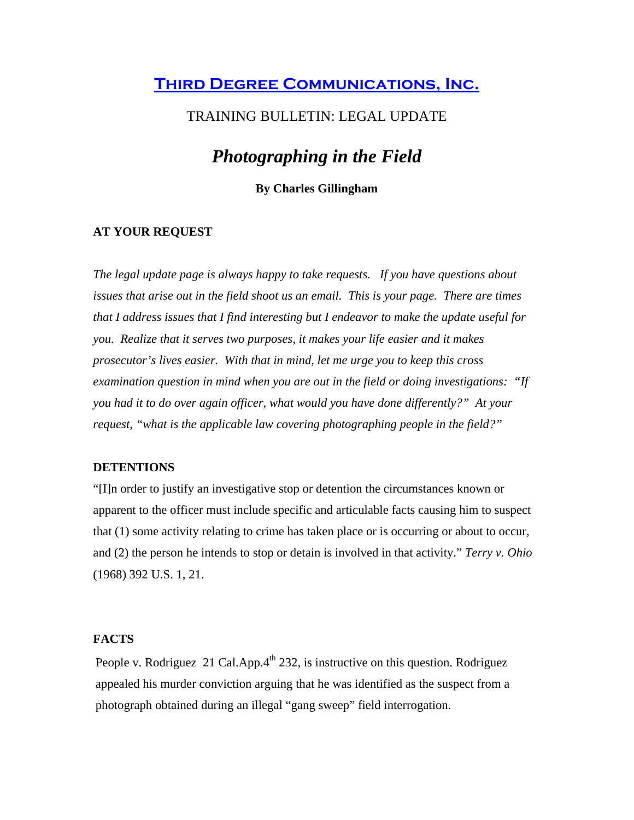## **[Third Degree Communications, Inc.](http://www.tdcorg.com/)**

### TRAINING BULLETIN: LEGAL UPDATE

# *Photographing in the Field*

### **By Charles Gillingham**

#### **AT YOUR REQUEST**

*The legal update page is always happy to take requests. If you have questions about issues that arise out in the field shoot us an email. This is your page. There are times that I address issues that I find interesting but I endeavor to make the update useful for you. Realize that it serves two purposes, it makes your life easier and it makes prosecutor's lives easier. With that in mind, let me urge you to keep this cross examination question in mind when you are out in the field or doing investigations: "If you had it to do over again officer, what would you have done differently?" At your request, "what is the applicable law covering photographing people in the field?"* 

#### **DETENTIONS**

"[I]n order to justify an investigative stop or detention the circumstances known or apparent to the officer must include specific and articulable facts causing him to suspect that (1) some activity relating to crime has taken place or is occurring or about to occur, and (2) the person he intends to stop or detain is involved in that activity." *Terry v. Ohio* (1968) 392 U.S. 1, 21.

### **FACTS**

People v. Rodriguez 21 Cal.App. $4<sup>th</sup>$  232, is instructive on this question. Rodriguez appealed his murder conviction arguing that he was identified as the suspect from a photograph obtained during an illegal "gang sweep" field interrogation.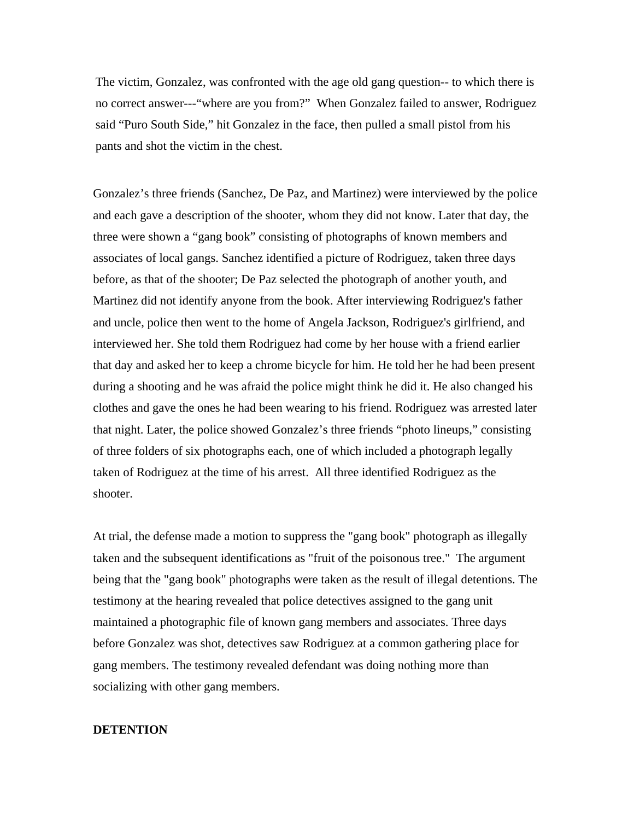The victim, Gonzalez, was confronted with the age old gang question-- to which there is no correct answer---"where are you from?" When Gonzalez failed to answer, Rodriguez said "Puro South Side," hit Gonzalez in the face, then pulled a small pistol from his pants and shot the victim in the chest.

Gonzalez's three friends (Sanchez, De Paz, and Martinez) were interviewed by the police and each gave a description of the shooter, whom they did not know. Later that day, the three were shown a "gang book" consisting of photographs of known members and associates of local gangs. Sanchez identified a picture of Rodriguez, taken three days before, as that of the shooter; De Paz selected the photograph of another youth, and Martinez did not identify anyone from the book. After interviewing Rodriguez's father and uncle, police then went to the home of Angela Jackson, Rodriguez's girlfriend, and interviewed her. She told them Rodriguez had come by her house with a friend earlier that day and asked her to keep a chrome bicycle for him. He told her he had been present during a shooting and he was afraid the police might think he did it. He also changed his clothes and gave the ones he had been wearing to his friend. Rodriguez was arrested later that night. Later, the police showed Gonzalez's three friends "photo lineups," consisting of three folders of six photographs each, one of which included a photograph legally taken of Rodriguez at the time of his arrest. All three identified Rodriguez as the shooter.

At trial, the defense made a motion to suppress the "gang book" photograph as illegally taken and the subsequent identifications as "fruit of the poisonous tree." The argument being that the "gang book" photographs were taken as the result of illegal detentions. The testimony at the hearing revealed that police detectives assigned to the gang unit maintained a photographic file of known gang members and associates. Three days before Gonzalez was shot, detectives saw Rodriguez at a common gathering place for gang members. The testimony revealed defendant was doing nothing more than socializing with other gang members.

#### **DETENTION**